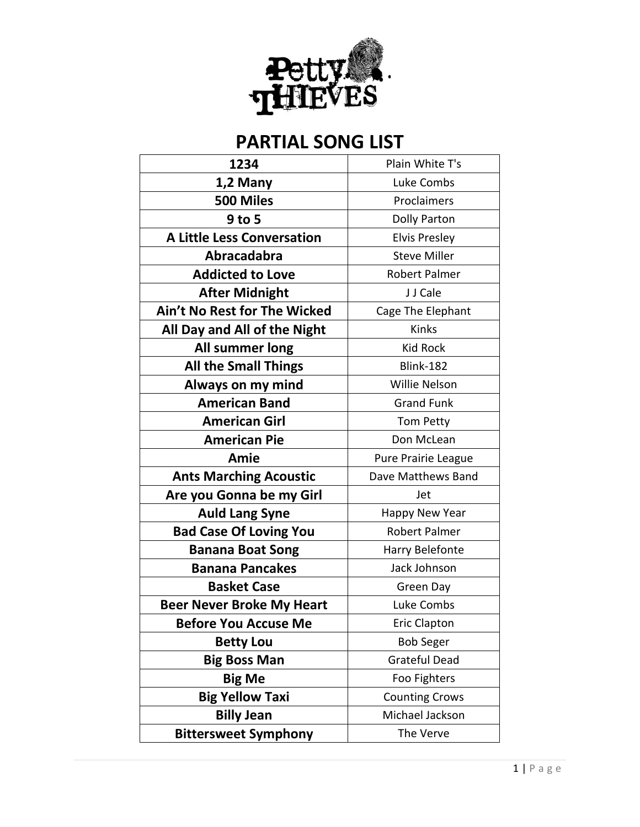

| 1234                              | Plain White T's       |
|-----------------------------------|-----------------------|
| 1,2 Many                          | Luke Combs            |
| 500 Miles                         | Proclaimers           |
| 9 to 5                            | Dolly Parton          |
| <b>A Little Less Conversation</b> | <b>Elvis Presley</b>  |
| Abracadabra                       | <b>Steve Miller</b>   |
| <b>Addicted to Love</b>           | <b>Robert Palmer</b>  |
| <b>After Midnight</b>             | J J Cale              |
| Ain't No Rest for The Wicked      | Cage The Elephant     |
| All Day and All of the Night      | Kinks                 |
| All summer long                   | <b>Kid Rock</b>       |
| <b>All the Small Things</b>       | Blink-182             |
| Always on my mind                 | Willie Nelson         |
| <b>American Band</b>              | <b>Grand Funk</b>     |
| <b>American Girl</b>              | Tom Petty             |
| <b>American Pie</b>               | Don McLean            |
|                                   |                       |
| Amie                              | Pure Prairie League   |
| <b>Ants Marching Acoustic</b>     | Dave Matthews Band    |
| Are you Gonna be my Girl          | Jet                   |
| <b>Auld Lang Syne</b>             | Happy New Year        |
| <b>Bad Case Of Loving You</b>     | <b>Robert Palmer</b>  |
| <b>Banana Boat Song</b>           | Harry Belefonte       |
| <b>Banana Pancakes</b>            | Jack Johnson          |
| <b>Basket Case</b>                | Green Day             |
| <b>Beer Never Broke My Heart</b>  | Luke Combs            |
| <b>Before You Accuse Me</b>       | <b>Eric Clapton</b>   |
| <b>Betty Lou</b>                  | <b>Bob Seger</b>      |
| <b>Big Boss Man</b>               | <b>Grateful Dead</b>  |
| <b>Big Me</b>                     | Foo Fighters          |
| <b>Big Yellow Taxi</b>            | <b>Counting Crows</b> |
| <b>Billy Jean</b>                 | Michael Jackson       |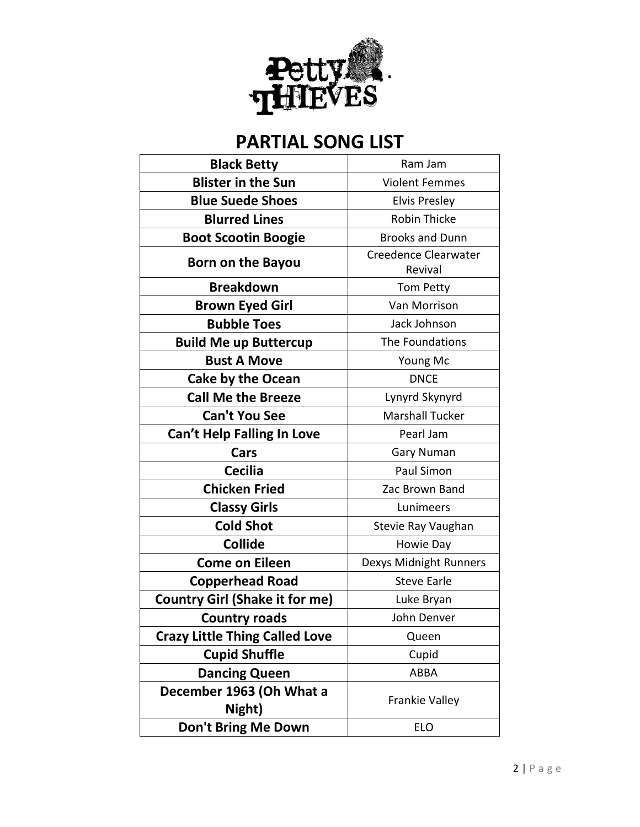

| <b>Black Betty</b>                    | Ram Jam                         |
|---------------------------------------|---------------------------------|
| <b>Blister in the Sun</b>             | <b>Violent Femmes</b>           |
| <b>Blue Suede Shoes</b>               | <b>Elvis Presley</b>            |
| <b>Blurred Lines</b>                  | Robin Thicke                    |
| <b>Boot Scootin Boogie</b>            | <b>Brooks and Dunn</b>          |
| Born on the Bayou                     | Creedence Clearwater<br>Revival |
| <b>Breakdown</b>                      | Tom Petty                       |
| <b>Brown Eyed Girl</b>                | Van Morrison                    |
| <b>Bubble Toes</b>                    | Jack Johnson                    |
| <b>Build Me up Buttercup</b>          | The Foundations                 |
| <b>Bust A Move</b>                    | Young Mc                        |
| <b>Cake by the Ocean</b>              | <b>DNCE</b>                     |
| <b>Call Me the Breeze</b>             | Lynyrd Skynyrd                  |
| <b>Can't You See</b>                  | <b>Marshall Tucker</b>          |
| Can't Help Falling In Love            | Pearl Jam                       |
| Cars                                  | <b>Gary Numan</b>               |
| <b>Cecilia</b>                        | Paul Simon                      |
| <b>Chicken Fried</b>                  | Zac Brown Band                  |
| <b>Classy Girls</b>                   | Lunimeers                       |
| <b>Cold Shot</b>                      | Stevie Ray Vaughan              |
| <b>Collide</b>                        | Howie Day                       |
| <b>Come on Eileen</b>                 | Dexys Midnight Runners          |
| <b>Copperhead Road</b>                | <b>Steve Earle</b>              |
| <b>Country Girl (Shake it for me)</b> | Luke Bryan                      |
| <b>Country roads</b>                  | John Denver                     |
| <b>Crazy Little Thing Called Love</b> | Queen                           |
| <b>Cupid Shuffle</b>                  | Cupid                           |
| <b>Dancing Queen</b>                  | <b>ABBA</b>                     |
| December 1963 (Oh What a<br>Night)    | Frankie Valley                  |
| Don't Bring Me Down                   | <b>ELO</b>                      |
|                                       |                                 |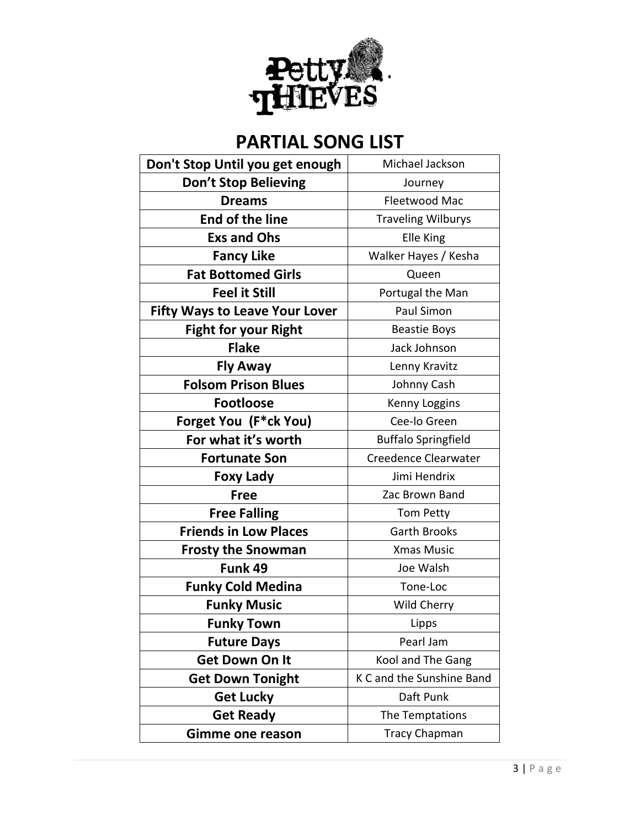

| Don't Stop Until you get enough       | Michael Jackson            |
|---------------------------------------|----------------------------|
| Don't Stop Believing                  | Journey                    |
| <b>Dreams</b>                         | Fleetwood Mac              |
| End of the line                       | <b>Traveling Wilburys</b>  |
| <b>Exs and Ohs</b>                    | Elle King                  |
| <b>Fancy Like</b>                     | Walker Hayes / Kesha       |
| <b>Fat Bottomed Girls</b>             | Queen                      |
| <b>Feel it Still</b>                  | Portugal the Man           |
| <b>Fifty Ways to Leave Your Lover</b> | Paul Simon                 |
| <b>Fight for your Right</b>           | <b>Beastie Boys</b>        |
| <b>Flake</b>                          | Jack Johnson               |
| <b>Fly Away</b>                       | Lenny Kravitz              |
| <b>Folsom Prison Blues</b>            | Johnny Cash                |
| <b>Footloose</b>                      | Kenny Loggins              |
| Forget You (F*ck You)                 | Cee-lo Green               |
| For what it's worth                   | <b>Buffalo Springfield</b> |
| <b>Fortunate Son</b>                  | Creedence Clearwater       |
| <b>Foxy Lady</b>                      | Jimi Hendrix               |
| <b>Free</b>                           | Zac Brown Band             |
| <b>Free Falling</b>                   | Tom Petty                  |
| <b>Friends in Low Places</b>          | <b>Garth Brooks</b>        |
| <b>Frosty the Snowman</b>             | <b>Xmas Music</b>          |
| Funk 49                               | Joe Walsh                  |
| <b>Funky Cold Medina</b>              | Tone-Loc                   |
| <b>Funky Music</b>                    | Wild Cherry                |
| <b>Funky Town</b>                     | Lipps                      |
| <b>Future Days</b>                    | Pearl Jam                  |
| <b>Get Down On It</b>                 | Kool and The Gang          |
| <b>Get Down Tonight</b>               | K C and the Sunshine Band  |
| <b>Get Lucky</b>                      | Daft Punk                  |
| <b>Get Ready</b>                      | The Temptations            |
| Gimme one reason                      | <b>Tracy Chapman</b>       |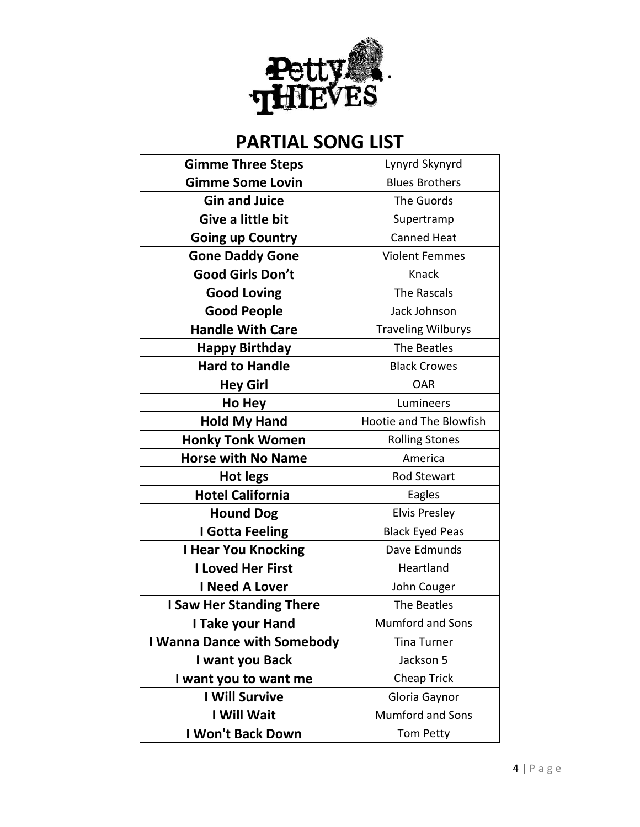

| <b>Gimme Three Steps</b>           | Lynyrd Skynyrd            |
|------------------------------------|---------------------------|
| <b>Gimme Some Lovin</b>            | <b>Blues Brothers</b>     |
| <b>Gin and Juice</b>               | The Guords                |
| Give a little bit                  | Supertramp                |
| <b>Going up Country</b>            | <b>Canned Heat</b>        |
| <b>Gone Daddy Gone</b>             | <b>Violent Femmes</b>     |
| <b>Good Girls Don't</b>            | Knack                     |
| <b>Good Loving</b>                 | The Rascals               |
| <b>Good People</b>                 | Jack Johnson              |
| <b>Handle With Care</b>            | <b>Traveling Wilburys</b> |
| <b>Happy Birthday</b>              | The Beatles               |
| <b>Hard to Handle</b>              | <b>Black Crowes</b>       |
| <b>Hey Girl</b>                    | <b>OAR</b>                |
| Ho Hey                             | Lumineers                 |
| <b>Hold My Hand</b>                | Hootie and The Blowfish   |
| <b>Honky Tonk Women</b>            | <b>Rolling Stones</b>     |
| <b>Horse with No Name</b>          | America                   |
| <b>Hot legs</b>                    | <b>Rod Stewart</b>        |
| <b>Hotel California</b>            | Eagles                    |
| <b>Hound Dog</b>                   | <b>Elvis Presley</b>      |
| I Gotta Feeling                    | <b>Black Eyed Peas</b>    |
| <b>I Hear You Knocking</b>         | Dave Edmunds              |
| <b>I Loved Her First</b>           | Heartland                 |
| <b>I Need A Lover</b>              | John Couger               |
| <b>I Saw Her Standing There</b>    | The Beatles               |
| I Take your Hand                   | Mumford and Sons          |
| <b>I Wanna Dance with Somebody</b> | <b>Tina Turner</b>        |
| I want you Back                    | Jackson 5                 |
| I want you to want me              | Cheap Trick               |
| <b>I Will Survive</b>              | Gloria Gaynor             |
| I Will Wait                        | <b>Mumford and Sons</b>   |
| I Won't Back Down                  | Tom Petty                 |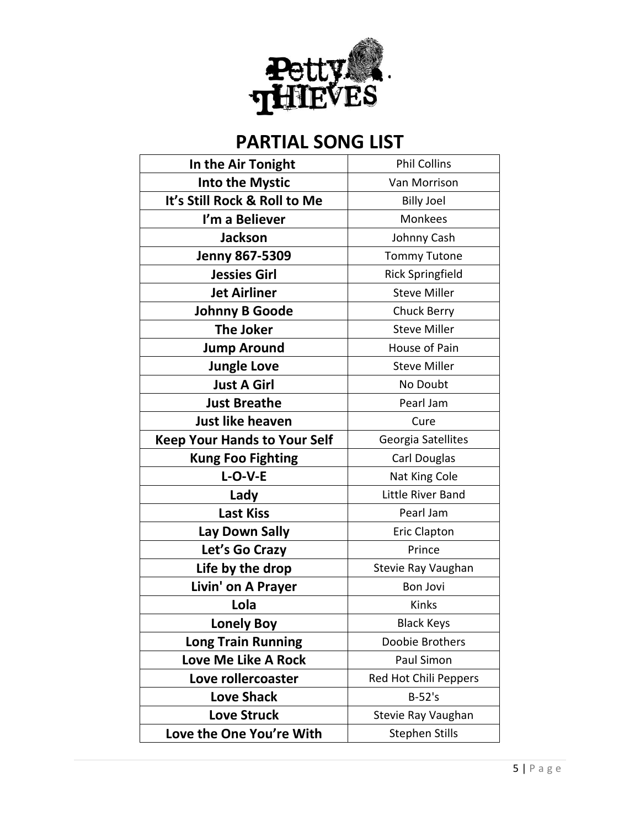

| In the Air Tonight                  | <b>Phil Collins</b>     |
|-------------------------------------|-------------------------|
| <b>Into the Mystic</b>              | Van Morrison            |
| It's Still Rock & Roll to Me        | <b>Billy Joel</b>       |
| I'm a Believer                      | <b>Monkees</b>          |
| <b>Jackson</b>                      | Johnny Cash             |
| <b>Jenny 867-5309</b>               | <b>Tommy Tutone</b>     |
| <b>Jessies Girl</b>                 | <b>Rick Springfield</b> |
| <b>Jet Airliner</b>                 | <b>Steve Miller</b>     |
| <b>Johnny B Goode</b>               | Chuck Berry             |
| <b>The Joker</b>                    | <b>Steve Miller</b>     |
| <b>Jump Around</b>                  | House of Pain           |
| <b>Jungle Love</b>                  | <b>Steve Miller</b>     |
| <b>Just A Girl</b>                  | No Doubt                |
| <b>Just Breathe</b>                 | Pearl Jam               |
| Just like heaven                    | Cure                    |
| <b>Keep Your Hands to Your Self</b> | Georgia Satellites      |
| <b>Kung Foo Fighting</b>            | Carl Douglas            |
| $L-O-V-E$                           | Nat King Cole           |
| Lady                                | Little River Band       |
| <b>Last Kiss</b>                    | Pearl Jam               |
| Lay Down Sally                      | <b>Eric Clapton</b>     |
| Let's Go Crazy                      | Prince                  |
| Life by the drop                    | Stevie Ray Vaughan      |
| Livin' on A Prayer                  | <b>Bon Jovi</b>         |
| Lola                                | Kinks                   |
| <b>Lonely Boy</b>                   | <b>Black Keys</b>       |
| <b>Long Train Running</b>           | Doobie Brothers         |
| <b>Love Me Like A Rock</b>          | Paul Simon              |
| Love rollercoaster                  | Red Hot Chili Peppers   |
| <b>Love Shack</b>                   | $B-52's$                |
| <b>Love Struck</b>                  | Stevie Ray Vaughan      |
| Love the One You're With            | <b>Stephen Stills</b>   |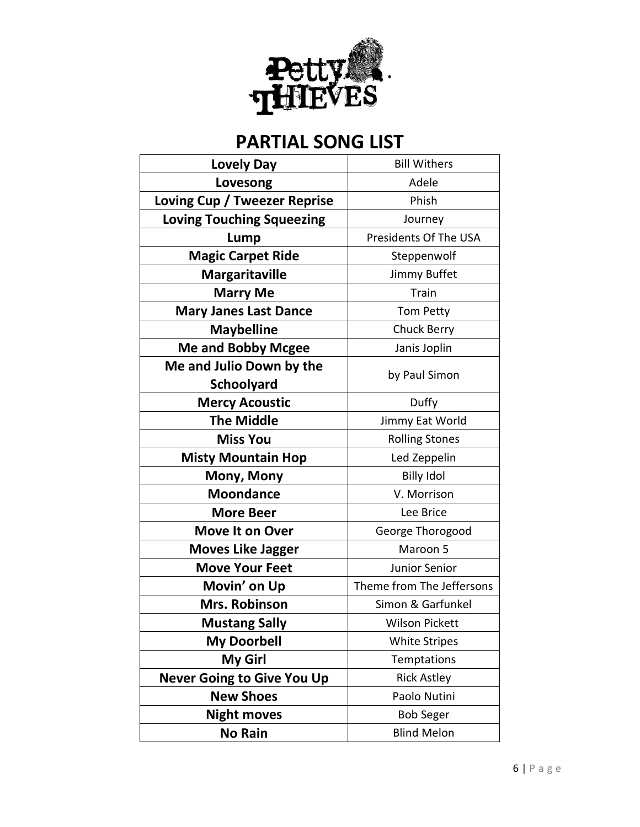

| <b>Lovely Day</b>                 | <b>Bill Withers</b>       |
|-----------------------------------|---------------------------|
| Lovesong                          | Adele                     |
| Loving Cup / Tweezer Reprise      | Phish                     |
| <b>Loving Touching Squeezing</b>  | Journey                   |
| Lump                              | Presidents Of The USA     |
| <b>Magic Carpet Ride</b>          | Steppenwolf               |
| <b>Margaritaville</b>             | Jimmy Buffet              |
| <b>Marry Me</b>                   | Train                     |
| <b>Mary Janes Last Dance</b>      | Tom Petty                 |
| <b>Maybelline</b>                 | <b>Chuck Berry</b>        |
| <b>Me and Bobby Mcgee</b>         | Janis Joplin              |
| Me and Julio Down by the          |                           |
| <b>Schoolyard</b>                 | by Paul Simon             |
| <b>Mercy Acoustic</b>             | Duffy                     |
| <b>The Middle</b>                 | Jimmy Eat World           |
| <b>Miss You</b>                   | <b>Rolling Stones</b>     |
| <b>Misty Mountain Hop</b>         | Led Zeppelin              |
| Mony, Mony                        | <b>Billy Idol</b>         |
| <b>Moondance</b>                  | V. Morrison               |
| <b>More Beer</b>                  | Lee Brice                 |
| <b>Move It on Over</b>            | George Thorogood          |
| <b>Moves Like Jagger</b>          | Maroon 5                  |
| <b>Move Your Feet</b>             | Junior Senior             |
| Movin' on Up                      | Theme from The Jeffersons |
| <b>Mrs. Robinson</b>              | Simon & Garfunkel         |
| <b>Mustang Sally</b>              | <b>Wilson Pickett</b>     |
| <b>My Doorbell</b>                | <b>White Stripes</b>      |
| <b>My Girl</b>                    | Temptations               |
| <b>Never Going to Give You Up</b> | <b>Rick Astley</b>        |
| <b>New Shoes</b>                  | Paolo Nutini              |
| <b>Night moves</b>                | <b>Bob Seger</b>          |
| <b>No Rain</b>                    | <b>Blind Melon</b>        |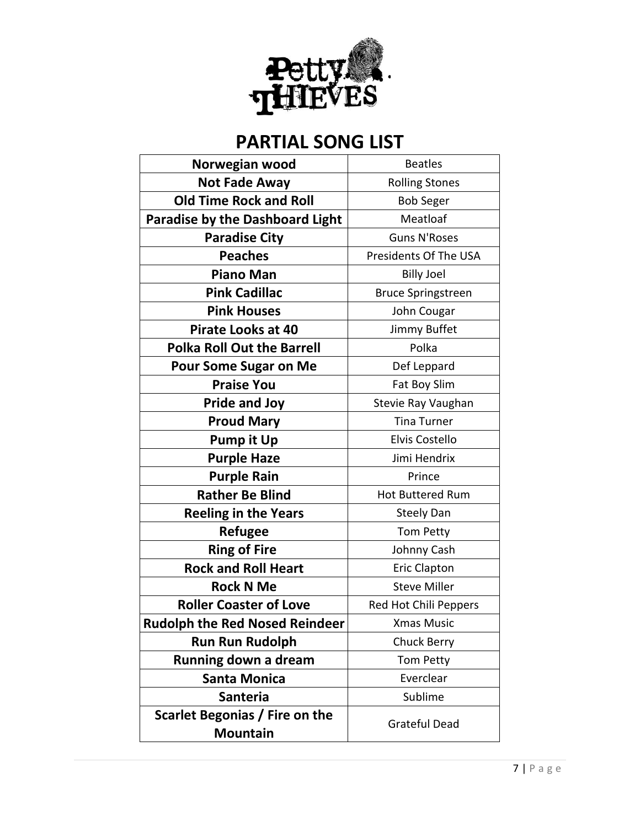

| Norwegian wood                                    | <b>Beatles</b>            |
|---------------------------------------------------|---------------------------|
| <b>Not Fade Away</b>                              | <b>Rolling Stones</b>     |
| <b>Old Time Rock and Roll</b>                     | <b>Bob Seger</b>          |
| <b>Paradise by the Dashboard Light</b>            | Meatloaf                  |
| <b>Paradise City</b>                              | <b>Guns N'Roses</b>       |
| <b>Peaches</b>                                    | Presidents Of The USA     |
| <b>Piano Man</b>                                  | <b>Billy Joel</b>         |
| <b>Pink Cadillac</b>                              | <b>Bruce Springstreen</b> |
| <b>Pink Houses</b>                                | John Cougar               |
| <b>Pirate Looks at 40</b>                         | Jimmy Buffet              |
| <b>Polka Roll Out the Barrell</b>                 | Polka                     |
| <b>Pour Some Sugar on Me</b>                      | Def Leppard               |
| <b>Praise You</b>                                 | Fat Boy Slim              |
| <b>Pride and Joy</b>                              | Stevie Ray Vaughan        |
| <b>Proud Mary</b>                                 | <b>Tina Turner</b>        |
| <b>Pump it Up</b>                                 | Elvis Costello            |
| <b>Purple Haze</b>                                | Jimi Hendrix              |
| <b>Purple Rain</b>                                | Prince                    |
| <b>Rather Be Blind</b>                            | Hot Buttered Rum          |
| <b>Reeling in the Years</b>                       | <b>Steely Dan</b>         |
| <b>Refugee</b>                                    | Tom Petty                 |
| <b>Ring of Fire</b>                               | Johnny Cash               |
| <b>Rock and Roll Heart</b>                        | <b>Eric Clapton</b>       |
| <b>Rock N Me</b>                                  | <b>Steve Miller</b>       |
| <b>Roller Coaster of Love</b>                     | Red Hot Chili Peppers     |
| <b>Rudolph the Red Nosed Reindeer</b>             | <b>Xmas Music</b>         |
| <b>Run Run Rudolph</b>                            | <b>Chuck Berry</b>        |
| Running down a dream                              | Tom Petty                 |
| <b>Santa Monica</b>                               | Everclear                 |
| <b>Santeria</b>                                   | Sublime                   |
| Scarlet Begonias / Fire on the<br><b>Mountain</b> | <b>Grateful Dead</b>      |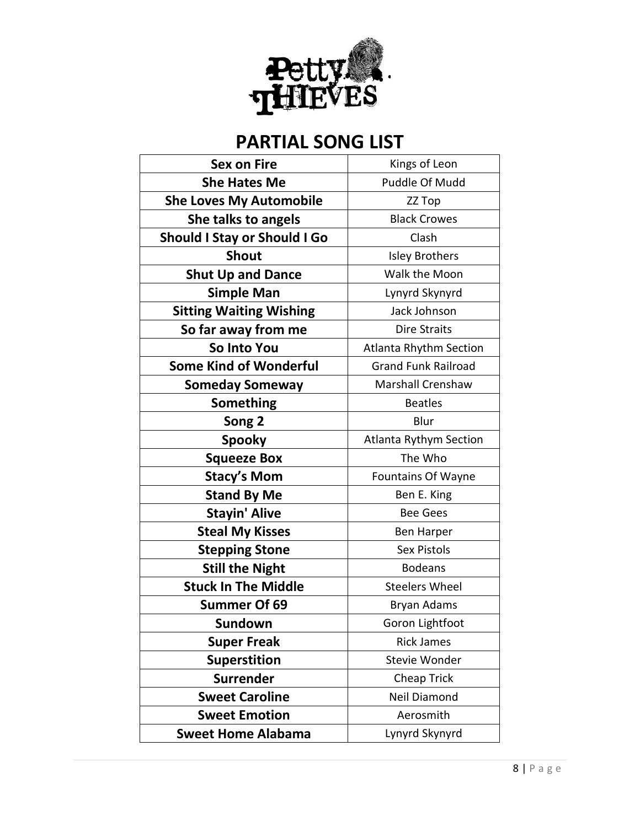

| <b>Sex on Fire</b>                  | Kings of Leon                 |
|-------------------------------------|-------------------------------|
| <b>She Hates Me</b>                 | Puddle Of Mudd                |
| <b>She Loves My Automobile</b>      | ZZ Top                        |
| She talks to angels                 | <b>Black Crowes</b>           |
| <b>Should I Stay or Should I Go</b> | Clash                         |
| <b>Shout</b>                        | <b>Isley Brothers</b>         |
| <b>Shut Up and Dance</b>            | Walk the Moon                 |
| <b>Simple Man</b>                   | Lynyrd Skynyrd                |
| <b>Sitting Waiting Wishing</b>      | Jack Johnson                  |
| So far away from me                 | Dire Straits                  |
| So Into You                         | <b>Atlanta Rhythm Section</b> |
| <b>Some Kind of Wonderful</b>       | <b>Grand Funk Railroad</b>    |
| <b>Someday Someway</b>              | <b>Marshall Crenshaw</b>      |
| Something                           | <b>Beatles</b>                |
| Song 2                              | Blur                          |
| <b>Spooky</b>                       | Atlanta Rythym Section        |
| <b>Squeeze Box</b>                  | The Who                       |
| <b>Stacy's Mom</b>                  | <b>Fountains Of Wayne</b>     |
| <b>Stand By Me</b>                  | Ben E. King                   |
| <b>Stayin' Alive</b>                | <b>Bee Gees</b>               |
| <b>Steal My Kisses</b>              | Ben Harper                    |
| <b>Stepping Stone</b>               | Sex Pistols                   |
| <b>Still the Night</b>              | <b>Bodeans</b>                |
| <b>Stuck In The Middle</b>          | <b>Steelers Wheel</b>         |
| <b>Summer Of 69</b>                 | Bryan Adams                   |
| Sundown                             | Goron Lightfoot               |
| <b>Super Freak</b>                  | <b>Rick James</b>             |
| <b>Superstition</b>                 | <b>Stevie Wonder</b>          |
| <b>Surrender</b>                    | Cheap Trick                   |
| <b>Sweet Caroline</b>               | Neil Diamond                  |
| <b>Sweet Emotion</b>                | Aerosmith                     |
| <b>Sweet Home Alabama</b>           | Lynyrd Skynyrd                |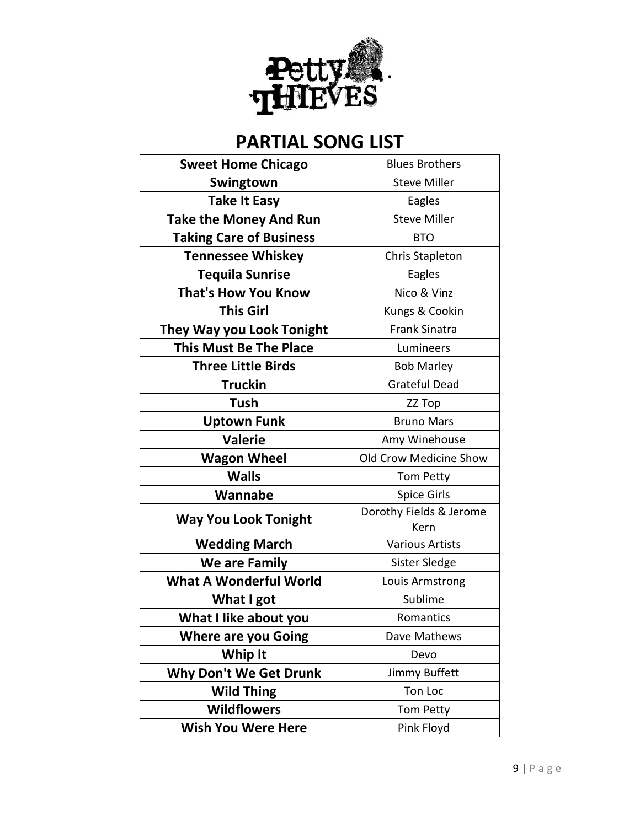

| <b>Sweet Home Chicago</b>      | <b>Blues Brothers</b>           |
|--------------------------------|---------------------------------|
| Swingtown                      | <b>Steve Miller</b>             |
| <b>Take It Easy</b>            | Eagles                          |
| <b>Take the Money And Run</b>  | <b>Steve Miller</b>             |
| <b>Taking Care of Business</b> | <b>BTO</b>                      |
| <b>Tennessee Whiskey</b>       | Chris Stapleton                 |
| <b>Tequila Sunrise</b>         | Eagles                          |
| <b>That's How You Know</b>     | Nico & Vinz                     |
| <b>This Girl</b>               | Kungs & Cookin                  |
| They Way you Look Tonight      | <b>Frank Sinatra</b>            |
| <b>This Must Be The Place</b>  | Lumineers                       |
| <b>Three Little Birds</b>      | <b>Bob Marley</b>               |
| <b>Truckin</b>                 | <b>Grateful Dead</b>            |
| <b>Tush</b>                    | ZZ Top                          |
| <b>Uptown Funk</b>             | <b>Bruno Mars</b>               |
| <b>Valerie</b>                 | Amy Winehouse                   |
| <b>Wagon Wheel</b>             | Old Crow Medicine Show          |
| <b>Walls</b>                   | Tom Petty                       |
| Wannabe                        | Spice Girls                     |
| <b>Way You Look Tonight</b>    | Dorothy Fields & Jerome<br>Kern |
| <b>Wedding March</b>           | <b>Various Artists</b>          |
| We are Family                  | Sister Sledge                   |
| <b>What A Wonderful World</b>  | Louis Armstrong                 |
| What I got                     | Sublime                         |
| What I like about you          | Romantics                       |
| <b>Where are you Going</b>     | Dave Mathews                    |
| Whip It                        | Devo                            |
| <b>Why Don't We Get Drunk</b>  | Jimmy Buffett                   |
| <b>Wild Thing</b>              | Ton Loc                         |
| <b>Wildflowers</b>             | Tom Petty                       |
| <b>Wish You Were Here</b>      | Pink Floyd                      |